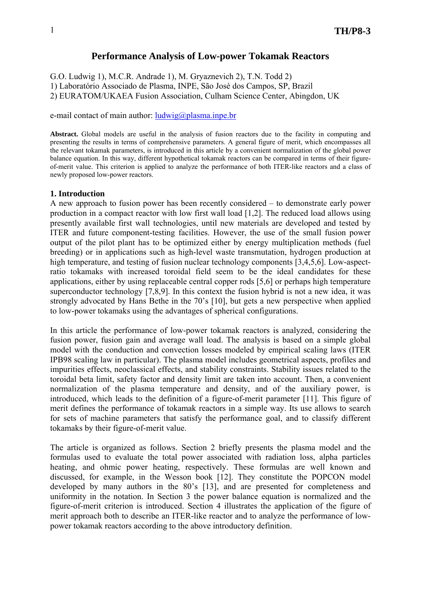# **Performance Analysis of Low-power Tokamak Reactors**

G.O. Ludwig 1), M.C.R. Andrade 1), M. Gryaznevich 2), T.N. Todd 2) 1) Laboratório Associado de Plasma, INPE, São José dos Campos, SP, Brazil 2) EURATOM/UKAEA Fusion Association, Culham Science Center, Abingdon, UK

## e-mail contact of main author:  $\frac{ludwig(\hat{a})}{lasma}$ .inpe.br

**Abstract.** Global models are useful in the analysis of fusion reactors due to the facility in computing and presenting the results in terms of comprehensive parameters. A general figure of merit, which encompasses all the relevant tokamak parameters, is introduced in this article by a convenient normalization of the global power balance equation. In this way, different hypothetical tokamak reactors can be compared in terms of their figureof-merit value. This criterion is applied to analyze the performance of both ITER-like reactors and a class of newly proposed low-power reactors.

## **1. Introduction**

A new approach to fusion power has been recently considered – to demonstrate early power production in a compact reactor with low first wall load [1,2]. The reduced load allows using presently available first wall technologies, until new materials are developed and tested by ITER and future component-testing facilities. However, the use of the small fusion power output of the pilot plant has to be optimized either by energy multiplication methods (fuel breeding) or in applications such as high-level waste transmutation, hydrogen production at high temperature, and testing of fusion nuclear technology components [3,4,5,6]. Low-aspectratio tokamaks with increased toroidal field seem to be the ideal candidates for these applications, either by using replaceable central copper rods [5,6] or perhaps high temperature superconductor technology [7,8,9]. In this context the fusion hybrid is not a new idea, it was strongly advocated by Hans Bethe in the 70's [10], but gets a new perspective when applied to low-power tokamaks using the advantages of spherical configurations.

In this article the performance of low-power tokamak reactors is analyzed, considering the fusion power, fusion gain and average wall load. The analysis is based on a simple global model with the conduction and convection losses modeled by empirical scaling laws (ITER IPB98 scaling law in particular). The plasma model includes geometrical aspects, profiles and impurities effects, neoclassical effects, and stability constraints. Stability issues related to the toroidal beta limit, safety factor and density limit are taken into account. Then, a convenient normalization of the plasma temperature and density, and of the auxiliary power, is introduced, which leads to the definition of a figure-of-merit parameter [11]. This figure of merit defines the performance of tokamak reactors in a simple way. Its use allows to search for sets of machine parameters that satisfy the performance goal, and to classify different tokamaks by their figure-of-merit value.

The article is organized as follows. Section 2 briefly presents the plasma model and the formulas used to evaluate the total power associated with radiation loss, alpha particles heating, and ohmic power heating, respectively. These formulas are well known and discussed, for example, in the Wesson book [12]. They constitute the POPCON model developed by many authors in the 80's [13], and are presented for completeness and uniformity in the notation. In Section 3 the power balance equation is normalized and the figure-of-merit criterion is introduced. Section 4 illustrates the application of the figure of merit approach both to describe an ITER-like reactor and to analyze the performance of lowpower tokamak reactors according to the above introductory definition.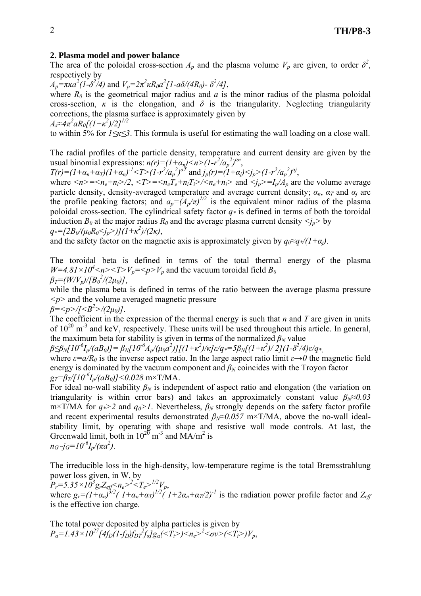## **2. Plasma model and power balance**

The area of the poloidal cross-section  $A_p$  and the plasma volume  $V_p$  are given, to order  $\delta^2$ , respectively by

 $A_p = \pi \kappa a^2 (1-\delta^2/4)$  and  $V_p = 2\pi^2 \kappa R_0 a^2 [1 - a\delta/(4R_0) - \delta^2/4]$ ,

where  $R_0$  is the geometrical major radius and *a* is the minor radius of the plasma poloidal cross-section,  $\kappa$  is the elongation, and  $\delta$  is the triangularity. Neglecting triangularity corrections, the plasma surface is approximately given by *As≈4π 2 aR0[(1+κ 2 )/2]1/2*

to within 5% for *1≤κ≤3*. This formula is useful for estimating the wall loading on a close wall.

The radial profiles of the particle density, temperature and current density are given by the usual binomial expressions:  $n(r)=(1+\alpha_n)\leq n>(1-r^2/\alpha_p^2)^{\alpha n}$ ,

 $T(r)=(1+\alpha_n+\alpha_T)(1+\alpha_n)^{-1} < T> (1-r^2/\alpha_p)^{2\alpha T}$  and  $j_p(r)=(1+\alpha_j) < j_p > (1-r^2/\alpha_p)^{2\alpha j}$ ,

where  $\langle n \rangle = \langle n_e + n_i \rangle/2$ ,  $\langle T \rangle = \langle n_e \overline{T_e} + n_i \overline{T_i} \rangle / \langle n_e + n_i \rangle$  and  $\langle j_p \rangle = I_p / A_p$  are the volume average particle density, density-averaged temperature and average current density;  $\alpha_n$ ,  $\alpha_T$  and  $\alpha_j$  are the profile peaking factors; and  $a_p = (A_p/\pi)^{1/2}$  is the equivalent minor radius of the plasma poloidal cross-section. The cylindrical safety factor  $q*$  is defined in terms of both the toroidal induction  $B_0$  at the major radius  $R_0$  and the average plasma current density  $\langle i_n \rangle$  by  $q^* = [2B_0/(\mu_0 R_0 < j_p>)](1+\kappa^2)/(2\kappa)$ ,

$$
q^* = [2D\theta/(\mu_0 N_0 > J_p > J](1 \pm \kappa) / (2\kappa),
$$

and the safety factor on the magnetic axis is approximately given by  $q_0 \approx q_0/(1+\alpha_i)$ .

The toroidal beta is defined in terms of the total thermal energy of the plasma  $W=4.81\times10^4\leq n\leq T\leq V_p=\leq p\leq V_p$  and the vacuum toroidal field  $B_0$  $\beta_T = (W/V_p)/(B_0^2/(2\mu_0))$ ,

while the plasma beta is defined in terms of the ratio between the average plasma pressure *<p>* and the volume averaged magnetic pressure

*β=<p>/[<B2 >/(2μ0)]*.

The coefficient in the expression of the thermal energy is such that *n* and *T* are given in units of  $10^{20}$  m<sup>-3</sup> and keV, respectively. These units will be used throughout this article. In general, the maximum beta for stability is given in terms of the normalized  $\beta_N$  value

 $\beta{\leq}\beta_N[10^6I_p/(aB_0)]=\beta_N[10^6A_p/(\mu_0a^2)][(1+\kappa^2)/\kappa]\varepsilon/q{\,}{*}{=}{5}\beta_N[(1+\kappa^2)/2](1\text{-}\delta^2/4)\varepsilon/q{\,}{*}$ 

where  $\varepsilon = a/R_0$  is the inverse aspect ratio. In the large aspect ratio limit  $\varepsilon \rightarrow 0$  the magnetic field energy is dominated by the vacuum component and  $\beta_N$  coincides with the Troyon factor  $g_T = \frac{\beta_T}{\left[10^{-6}I_p/(aB_0)\right]} < 0.028$  m×T/MA.

For ideal no-wall stability  $\beta_N$  is independent of aspect ratio and elongation (the variation on triangularity is within error bars) and takes an approximately constant value  $\beta_N \approx 0.03$  $m \times T/MA$  for  $q \ge 2$  and  $q_0 > 1$ . Nevertheless,  $\beta_N$  strongly depends on the safety factor profile and recent experimental results demonstrated  $\beta_N \approx 0.057$  m×T/MA, above the no-wall idealstability limit, by operating with shape and resistive wall mode controls. At last, the Greenwald limit, both in  $10^{20}$  m<sup>-3</sup> and MA/m<sup>2</sup> is  $n_G$   $\gamma$ *j<sub>G</sub>*  $=$   $10^{6}$ *I<sub>p</sub>* $/$ ( $\pi a^2$ ).

The irreducible loss in the high-density, low-temperature regime is the total Bremsstrahlung power loss given, in W, by

 $P_r = 5.35 \times 10^3 g_r Z_{eff} \leq n_e > 2 \leq T_e > 1/2 V_p$ where  $g_r = (I + a_n)^{3/2}(I + a_n + a_T)^{1/2}(I + 2a_n + a_T/2)^{-1}$  is the radiation power profile factor and  $Z_{ef}$ is the effective ion charge.

The total power deposited by alpha particles is given by  $P_a = 1.43 \times 10^{27} [4f_D (1-f_D) f_{DT}^2 f_a] g_a \left( \langle T_i \rangle \right) \langle n_e \rangle^2 \langle \sigma v \rangle \langle \langle T_i \rangle) V_p,$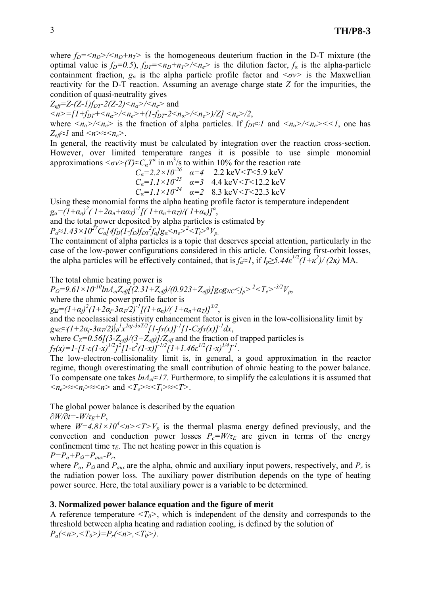where  $f_D = \langle n_D \rangle / \langle n_D + n_T \rangle$  is the homogeneous deuterium fraction in the D-T mixture (the optimal value is  $f_D=0.5$ ),  $f_{DT}=\langle n_D+n_T\rangle/\langle n_e\rangle$  is the dilution factor,  $f_a$  is the alpha-particle containment fraction,  $g_a$  is the alpha particle profile factor and  $\langle \sigma v \rangle$  is the Maxwellian reactivity for the D-T reaction. Assuming an average charge state *Z* for the impurities, the condition of quasi-neutrality gives

*Zeff=Z-(Z-1)fDT-2(Z-2)<nα>/<ne>* and

 $\langle n \rangle = [1 + f_{DT} + \langle n_a \rangle / \langle n_e \rangle + (1 - f_{DT} - 2 \langle n_a \rangle / \langle n_e \rangle) / Z] \langle n_e \rangle / 2$ 

where  $\langle n_a \rangle / \langle n_e \rangle$  is the fraction of alpha particles. If  $f_{DT} \approx 1$  and  $\langle n_a \rangle / \langle n_e \rangle \langle \langle n_e \rangle$ , one has  $Z_{\text{eff}} \approx l$  and  $\langle n \rangle \approx \langle n_e \rangle$ .

In general, the reactivity must be calculated by integration over the reaction cross-section. However, over limited temperature ranges it is possible to use simple monomial approximations  $\langle \sigma v \rangle (T) \approx C_a T^a$  in m<sup>3</sup>/s to within 10% for the reaction rate

$$
C_{\alpha} = 2.2 \times 10^{-26} \quad \alpha = 4 \quad 2.2 \text{ keV} < T < 5.9 \text{ keV} C_{\alpha} = 1.1 \times 10^{-25} \quad \alpha = 3 \quad 4.4 \text{ keV} < T < 12.2 \text{ keV} C_{\alpha} = 1.1 \times 10^{-24} \quad \alpha = 2 \quad 8.3 \text{ keV} < T < 22.3 \text{ keV}
$$

Using these monomial forms the alpha heating profile factor is temperature independent  $g_{\alpha} = (I + \alpha_n)^2 (I + 2\alpha_n + \alpha \alpha_T)^{-1} [(I + \alpha_n + \alpha_T)/(I + \alpha_n)]^{\alpha},$ 

and the total power deposited by alpha particles is estimated by

 $P_a \approx 1.43 \times 10^{27} C_a [4f_D(1-f_D)f_{DT}^2 f_a] g_a \leq n_e >^2 \leq T_i >^a V_p$ .

The containment of alpha particles is a topic that deserves special attention, particularly in the case of the low-power configurations considered in this article. Considering first-orbit losses, the alpha particles will be effectively contained, that is  $f_a \approx I$ , if  $I_p \ge 5.44 \varepsilon^{1/2} (I + \kappa^2) / (2\kappa)$  MA.

The total ohmic heating power is

*PΩ=9.61×10-10lnΛeiZeff[(2.31+Zeff)/(0.923+Zeff)]gΩgNC<jp><sup>2</sup> <Te>-3/2Vp*, where the ohmic power profile factor is

 $g_{\Omega} = (1+\alpha_j)^2(1+2\alpha_j-3\alpha_j/2)^{-1}[(1+\alpha_n)/(1+\alpha_n+\alpha_j)]^{3/2}$ ,

and the neoclassical resistivity enhancement factor is given in the low-collisionality limit by  $g_{NC} \approx (1+2a_j-3a_T/2)\int_0^l x^{2a_j-3a_T/2} [1-f_T(x)]^{-1} [1-C_f f_T(x)]^{-1} dx$ ,

where  $C_Z=0.56[(3-Z_{eff})/(3+Z_{eff})]/Z_{eff}$  and the fraction of trapped particles is  $f_T(x) = 1 - [1 - \varepsilon (1-x)^{1/2}]^2 \int_0^x [1 - \varepsilon^2 (1-x)]^{-1/2} [1 + 1.46 \varepsilon^{1/2} (1-x)^{1/4}]^{-1}.$ 

The low-electron-collisionality limit is, in general, a good approximation in the reactor regime, though overestimating the small contribution of ohmic heating to the power balance. To compensate one takes *lnΛei≈17*. Furthermore, to simplify the calculations it is assumed that  $\langle n_e \rangle \approx \langle n_i \rangle \approx \langle n \rangle$  and  $\langle T_e \rangle \approx \langle T_i \rangle \approx \langle T \rangle$ .

The global power balance is described by the equation

*∂W/∂t=-W/τE+P*,

where  $W=4.81\times10^4\le n>>T>V_p$  is the thermal plasma energy defined previously, and the convection and conduction power losses  $P_c = W/\tau_E$  are given in terms of the energy confinement time  $\tau_E$ . The net heating power in this equation is

 $P = P_a + P_Q + P_{aux} - P_r$ 

where  $P_{\alpha}$ ,  $P_{\Omega}$  and  $P_{\alpha}$  are the alpha, ohmic and auxiliary input powers, respectively, and  $P_r$  is the radiation power loss. The auxiliary power distribution depends on the type of heating power source. Here, the total auxiliary power is a variable to be determined.

### **3. Normalized power balance equation and the figure of merit**

A reference temperature  $\langle T_0 \rangle$ , which is independent of the density and corresponds to the threshold between alpha heating and radiation cooling, is defined by the solution of  $P_a(\leq n>, \leq T_0) = P_r(\leq n>, \leq T_0)$ .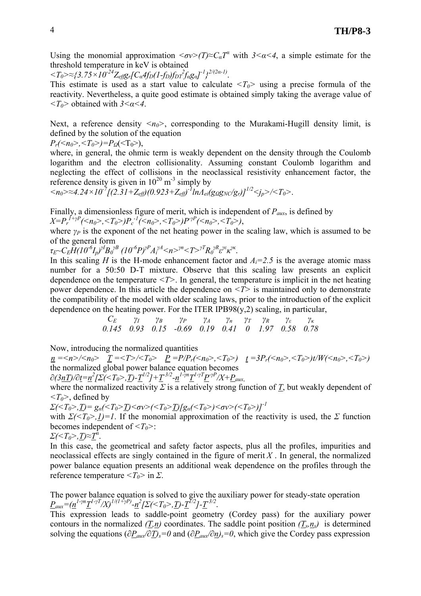Using the monomial approximation  $\langle \sigma v \rangle (T) \approx C_a T^a$  with  $3 \le a \le 4$ , a simple estimate for the threshold temperature in keV is obtained

 $\langle T_0 \rangle \approx \frac{2}{3.75 \times 10^{-24} Z_{eff} g_r [C_a 4f_D (1-f_D) f_D r^2 f_a g_a}^{-1} \rangle^{2/(2a-1)}$ .

This estimate is used as a start value to calculate  $\langle T_0 \rangle$  using a precise formula of the reactivity. Nevertheless, a quite good estimate is obtained simply taking the average value of *<T0>* obtained with *3<α<4*.

Next, a reference density  $\langle n_0 \rangle$ , corresponding to the Murakami-Hugill density limit, is defined by the solution of the equation

 $P_r(\leq n_0>, \leq T_0) = P_Q(\leq T_0),$ 

where, in general, the ohmic term is weakly dependent on the density through the Coulomb logarithm and the electron collisionality. Assuming constant Coulomb logarithm and neglecting the effect of collisions in the neoclassical resistivity enhancement factor, the reference density is given in  $10^{20}$  m<sup>-3</sup> simply by

 $\langle n_0 \rangle \approx 4.24 \times 10^{-7} [(2.31 + Z_{eff}) (0.923 + Z_{eff})^{-1} ln A_{ei} (g_{\Omega} g_{NC}/g_r)]^{1/2} \langle j_p \rangle / \langle T_0 \rangle$ .

Finally, a dimensionless figure of merit, which is independent of *Paux*, is defined by

*X*= $P_r$ <sup>*I*+*γP*</sup>(<*n<sub>0</sub>>*,<*T<sub>0</sub>>)P<sub>c</sub>*<sup>-*1*</sup>(<*n<sub>0</sub>>*,<*T<sub>0</sub>>)P<sup>-<i>γP*</sup>(<*n*<sub>0</sub>>,<*T*<sub>0</sub>>),

where  $\gamma_p$  is the exponent of the net heating power in the scaling law, which is assumed to be of the general form

 $\tau_E \sim C_E H (10^{-6} I_p)^{\gamma B} B_0^{\gamma B} (10^{-6} P)^{\gamma P} A_i^{\gamma A} \leq n >^{\gamma n} \leq T >^{\gamma T} R_0^{\gamma R} \varepsilon^{\gamma \varepsilon} \kappa^{\gamma \kappa}.$ 

In this scaling *H* is the H-mode enhancement factor and  $A_i=2.5$  is the average atomic mass number for a 50:50 D-T mixture. Observe that this scaling law presents an explicit dependence on the temperature *<T>*. In general, the temperature is implicit in the net heating power dependence. In this article the dependence on *<T>* is maintained only to demonstrate the compatibility of the model with older scaling laws, prior to the introduction of the explicit dependence on the heating power. For the ITER IPB98 $(y, z)$  scaling, in particular,

$$
\begin{array}{ccccccccc}\nC_E & \gamma_I & \gamma_B & \gamma_P & \gamma_A & \gamma_n & \gamma_T & \gamma_R & \gamma_c & \gamma_\kappa \\
0.145 & 0.93 & 0.15 & -0.69 & 0.19 & 0.41 & 0 & 1.97 & 0.58 & 0.78\n\end{array}
$$

Now, introducing the normalized quantities

 $n = \langle n \rangle / \langle n_0 \rangle$   $T = \langle T \rangle / \langle T_0 \rangle$   $P = P/P_r(\langle n_0 \rangle, \langle T_0 \rangle)$   $t = 3P_r(\langle n_0 \rangle, \langle T_0 \rangle) t/W(\langle n_0 \rangle, \langle T_0 \rangle)$ the normalized global power balance equation becomes

$$
\partial(3\underline{nT})/\partial\underline{t}=\underline{n}^{2}\left[\sum\left(\langle T_{0}\rangle,\underline{T}\right]-\underline{T}^{1/2}\right]+\underline{T}^{3/2}-\underline{n}^{1-\gamma n}\underline{T}^{1-\gamma T}\underline{P}^{\gamma P}/X+\underline{P}_{aux,}
$$

where the normalized reactivity  $\Sigma$  is a relatively strong function of *T*, but weakly dependent of *<T0>*, defined by

*Σ*(<*T*<sub>0</sub>>,<u>*T*)= g<sub>α</sub>(<*T*<sub>0</sub>><u>*T*</u>)<σν>(<*T*<sub>0</sub>>*T*)*[g<sub>α</sub>*(<*T*<sub>0</sub>>)<σν>(<*T*<sub>0</sub>>)]<sup>-1</sup></u>

with  $\sum(\langle T_0 \rangle, I)=I$ . If the monomial approximation of the reactivity is used, the  $\Sigma$  function becomes independent of  $\langle T_0 \rangle$ :

$$
\Sigma \langle \langle T_0 \rangle, \underline{T} \rangle \approx \underline{T}^{\alpha}.
$$

In this case, the geometrical and safety factor aspects, plus all the profiles, impurities and neoclassical effects are singly contained in the figure of merit  $X$ . In general, the normalized power balance equation presents an additional weak dependence on the profiles through the reference temperature  $\langle T_0 \rangle$  in  $\Sigma$ .

The power balance equation is solved to give the auxiliary power for steady-state operation  $P_{aux} = (n^{1-\gamma n} T^{1-\gamma T} /X)^{1/(1+\gamma P)} - n^2 \left[ \sum_{n \leq x} (-T_0 > T) - T^{1/2} \right] - T^{3/2}.$ 

This expression leads to saddle-point geometry (Cordey pass) for the auxiliary power contours in the normalized  $(\underline{T}, \underline{n})$  coordinates. The saddle point position  $(T_s, n_s)$  is determined solving the equations ( $\partial P_{aux}/\partial T$ )<sub>s</sub>=0 and ( $\partial P_{aux}/\partial n$ )<sub>s</sub>=0, which give the Cordey pass expression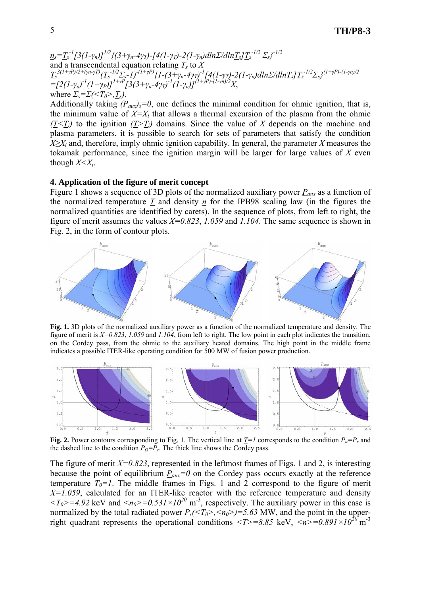*ns=Ts -1[3(1-γn)]1/2{(3+γn-4γT)-[4(1-γT)-2(1-γn)dlnΣ/dlnTs]Ts -1/2 Σs} -1/2* and a transcendental equation relating *Ts* to *X*  $\underline{T_s}^{3(1+\gamma P)/2 + (\gamma n \cdot \gamma T)} (\underline{T_s}^{-1/2} \Sigma_s - I)^{-(1+\gamma P)} \{1 - (3+\gamma_n - 4\gamma_T)^{-1} [4(1-\gamma_T) - 2(1-\gamma_n) dln \Sigma / dln \underline{T_s}]\underline{T_s}^{-1/2} \Sigma_s \}^{(1+\gamma P) - (1-\gamma n)/2}$  $=\left[2(1-\gamma_n)^{-1}(1+\gamma_P)\right]^{1+\gamma_P}\left[3(3+\gamma_n-4\gamma_T)^{-1}(1-\gamma_n)\right]^{(1+\gamma_P)-(1-\gamma_n)/2}X,$ where  $\sum_{s} = \sum (\langle T_0 \rangle, T_s)$ .

Additionally taking  $(P_{aux})_s = 0$ , one defines the minimal condition for ohmic ignition, that is, the minimum value of  $X=X_i$  that allows a thermal excursion of the plasma from the ohmic  $(T \leq T_i)$  to the ignition  $(T \geq T_i)$  domains. Since the value of *X* depends on the machine and plasma parameters, it is possible to search for sets of parameters that satisfy the condition *X≥X<sub>i</sub>* and, therefore, imply ohmic ignition capability. In general, the parameter *X* measures the tokamak performance, since the ignition margin will be larger for large values of *X* even though  $X \leq X_i$ .

#### **4. Application of the figure of merit concept**

Figure 1 shows a sequence of 3D plots of the normalized auxiliary power *Paux* as a function of the normalized temperature *T* and density *n* for the IPB98 scaling law (in the figures the normalized quantities are identified by carets). In the sequence of plots, from left to right, the figure of merit assumes the values *X=0.823*, *1.059* and *1.104*. The same sequence is shown in Fig. 2, in the form of contour plots.



**Fig. 1.** 3D plots of the normalized auxiliary power as a function of the normalized temperature and density. The figure of merit is *X=0.823*, *1.059* and *1.104*, from left to right. The low point in each plot indicates the transition, on the Cordey pass, from the ohmic to the auxiliary heated domains. The high point in the middle frame indicates a possible ITER-like operating condition for 500 MW of fusion power production.



**Fig. 2.** Power contours corresponding to Fig. 1. The vertical line at  $\underline{T}=I$  corresponds to the condition  $P_a = P_r$  and the dashed line to the condition  $P_{Q} = P_{r}$ . The thick line shows the Cordey pass.

The figure of merit  $X=0.823$ , represented in the leftmost frames of Figs. 1 and 2, is interesting because the point of equilibrium  $P_{aux}=0$  on the Cordey pass occurs exactly at the reference temperature  $T_0=1$ . The middle frames in Figs. 1 and 2 correspond to the figure of merit *X=1.059*, calculated for an ITER-like reactor with the reference temperature and density  $\langle T_0 \rangle = 4.92$  keV and  $\langle n_0 \rangle = 0.531 \times 10^{20}$  m<sup>-3</sup>, respectively. The auxiliary power in this case is normalized by the total radiated power  $P_r(\leq T_0 \geq 0.563$  MW, and the point in the upperright quadrant represents the operational conditions  $\langle T \rangle = 8.85$  keV,  $\langle n \rangle = 0.891 \times 10^{20}$  m<sup>-3</sup>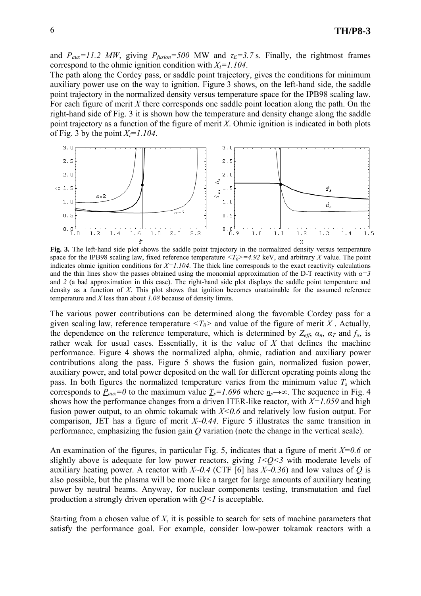and  $P_{aux}=11.2$  MW, giving  $P_{fusion}=500$  MW and  $\tau_E=3.7$  s. Finally, the rightmost frames correspond to the ohmic ignition condition with *Xi=1.104*.

The path along the Cordey pass, or saddle point trajectory, gives the conditions for minimum auxiliary power use on the way to ignition. Figure 3 shows, on the left-hand side, the saddle point trajectory in the normalized density versus temperature space for the IPB98 scaling law. For each figure of merit *X* there corresponds one saddle point location along the path. On the right-hand side of Fig. 3 it is shown how the temperature and density change along the saddle point trajectory as a function of the figure of merit *X*. Ohmic ignition is indicated in both plots of Fig. 3 by the point  $X_i = 1.104$ .



Fig. 3. The left-hand side plot shows the saddle point trajectory in the normalized density versus temperature space for the IPB98 scaling law, fixed reference temperature  $\langle T_0 \rangle = 4.92$  keV, and arbitrary *X* value. The point indicates ohmic ignition conditions for  $X=1.104$ . The thick line corresponds to the exact reactivity calculations and the thin lines show the passes obtained using the monomial approximation of the D-T reactivity with  $\alpha = 3$ and 2 (a bad approximation in this case). The right-hand side plot displays the saddle point temperature and density as a function of *X*. This plot shows that ignition becomes unattainable for the assumed reference temperature and *X* less than about *1.08* because of density limits.

The various power contributions can be determined along the favorable Cordey pass for a given scaling law, reference temperature  $\langle T_0 \rangle$  and value of the figure of merit *X*. Actually, the dependence on the reference temperature, which is determined by  $Z_{\text{eff}}$ ,  $\alpha_n$ ,  $\alpha_T$  and  $f_\alpha$ , is rather weak for usual cases. Essentially, it is the value of *X* that defines the machine performance. Figure 4 shows the normalized alpha, ohmic, radiation and auxiliary power contributions along the pass. Figure 5 shows the fusion gain, normalized fusion power, auxiliary power, and total power deposited on the wall for different operating points along the pass. In both figures the normalized temperature varies from the minimum value  $T<sub>s</sub>$  which corresponds to  $P_{aux}=0$  to the maximum value  $T_s=1.696$  where  $n_s\rightarrow\infty$ . The sequence in Fig. 4 shows how the performance changes from a driven ITER-like reactor, with *X=1.059* and high fusion power output, to an ohmic tokamak with *X<0.6* and relatively low fusion output. For comparison, JET has a figure of merit  $X \sim 0.44$ . Figure 5 illustrates the same transition in performance, emphasizing the fusion gain *Q* variation (note the change in the vertical scale).

An examination of the figures, in particular Fig. 5, indicates that a figure of merit *X=0.6* or slightly above is adequate for low power reactors, giving  $1 < Q < 3$  with moderate levels of auxiliary heating power. A reactor with *X~0.4* (CTF [6] has *X~0.36*) and low values of *Q* is also possible, but the plasma will be more like a target for large amounts of auxiliary heating power by neutral beams. Anyway, for nuclear components testing, transmutation and fuel production a strongly driven operation with  $Q \leq 1$  is acceptable.

Starting from a chosen value of *X*, it is possible to search for sets of machine parameters that satisfy the performance goal. For example, consider low-power tokamak reactors with a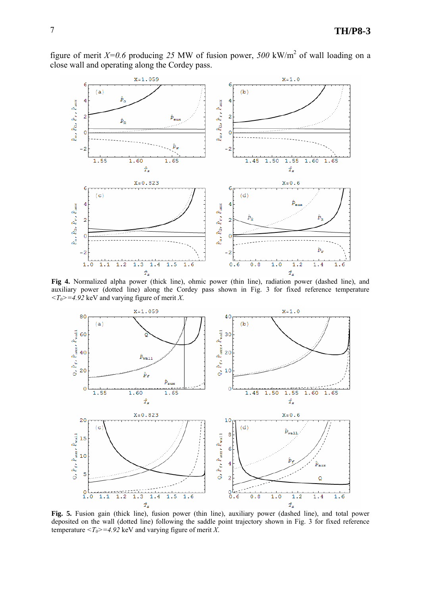figure of merit  $X=0.6$  producing 25 MW of fusion power, 500 kW/m<sup>2</sup> of wall loading on a close wall and operating along the Cordey pass.



**Fig 4.** Normalized alpha power (thick line), ohmic power (thin line), radiation power (dashed line), and auxiliary power (dotted line) along the Cordey pass shown in Fig. 3 for fixed reference temperature  $\langle T_0 \rangle = 4.92$  keV and varying figure of merit *X*.



**Fig. 5.** Fusion gain (thick line), fusion power (thin line), auxiliary power (dashed line), and total power deposited on the wall (dotted line) following the saddle point trajectory shown in Fig. 3 for fixed reference temperature  $\langle T_0 \rangle = 4.92$  keV and varying figure of merit *X*.